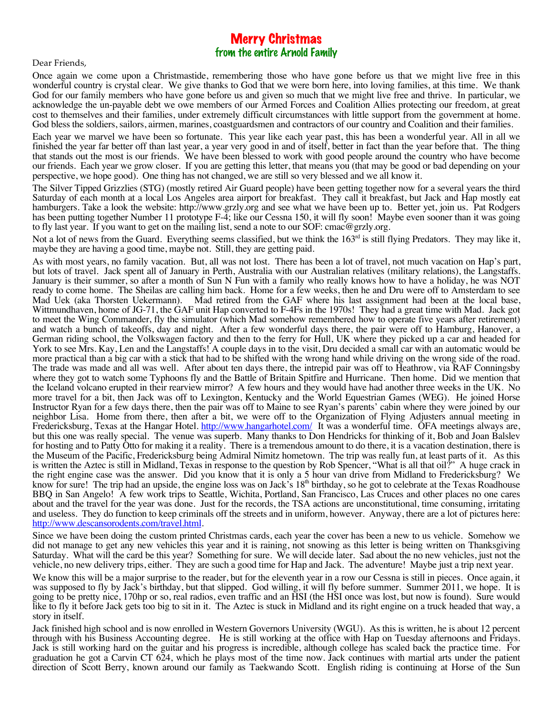## Merry Christmas from the entire Arnold Family

## Dear Friends,

Once again we come upon a Christmastide, remembering those who have gone before us that we might live free in this wonderful country is crystal clear. We give thanks to God that we were born here, into loving families, at this time. We thank God for our family members who have gone before us and given so much that we might live free and thrive. In particular, we acknowledge the un-payable debt we owe members of our Armed Forces and Coalition Allies protecting our freedom, at great cost to themselves and their families, under extremely difficult circumstances with little support from the government at home. God bless the soldiers, sailors, airmen, marines, coastguardsmen and contractors of our country and Coalition and their families.

Each year we marvel we have been so fortunate. This year like each year past, this has been a wonderful year. All in all we finished the year far better off than last year, a year very good in and of itself, better in fact than the year before that. The thing that stands out the most is our friends. We have been blessed to work with good people around the country who have become our friends. Each year we grow closer. If you are getting this letter, that means you (that may be good or bad depending on your perspective, we hope good). One thing has not changed, we are still so very blessed and we all know it.

The Silver Tipped Grizzlies (STG) (mostly retired Air Guard people) have been getting together now for a several years the third Saturday of each month at a local Los Angeles area airport for breakfast. They call it breakfast, but Jack and Hap mostly eat hamburgers. Take a look the website: http://www.grzly.org and see what we have been up to. Better yet, join us. Pat Rodgers has been putting together Number 11 prototype F-4; like our Cessna 150, it will fly soon! Maybe even sooner than it was going to fly last year. If you want to get on the mailing list, send a note to our SOF: cmac@grzly.org.

Not a lot of news from the Guard. Everything seems classified, but we think the  $163<sup>rd</sup>$  is still flying Predators. They may like it, maybe they are having a good time, maybe not. Still, they are getting paid.

As with most years, no family vacation. But, all was not lost. There has been a lot of travel, not much vacation on Hap's part, but lots of travel. Jack spent all of January in Perth, Australia with our Australian relatives (military relations), the Langstaffs. January is their summer, so after a month of Sun N Fun with a family who really knows how to have a holiday, he was NOT ready to come home. The Sheilas are calling him back. Home for a few weeks, then he and Dru were off to Amsterdam to see Mad Uek (aka Thorsten Uekermann). Mad retired from the GAF where his last assignment had been at the local base, Wittmundhaven, home of JG-71, the GAF unit Hap converted to F-4Fs in the 1970s! They had a great time with Mad. Jack got to meet the Wing Commander, fly the simulator (which Mad somehow remembered how to operate five years after retirement) and watch a bunch of takeoffs, day and night. After a few wonderful days there, the pair were off to Hamburg, Hanover, a German riding school, the Volkswagen factory and then to the ferry for Hull, UK where they picked up a car and headed for York to see Mrs. Kay, Len and the Langstaffs! A couple days in to the visit, Dru decided a small car with an automatic would be more practical than a big car with a stick that had to be shifted with the wrong hand while driving on the wrong side of the road. The trade was made and all was well. After about ten days there, the intrepid pair was off to Heathrow, via RAF Conningsby where they got to watch some Typhoons fly and the Battle of Britain Spitfire and Hurricane. Then home. Did we mention that the Iceland volcano erupted in their rearview mirror? A few hours and they would have had another three weeks in the UK. No more travel for a bit, then Jack was off to Lexington, Kentucky and the World Equestrian Games (WEG). He joined Horse Instructor Ryan for a few days there, then the pair was off to Maine to see Ryan's parents' cabin where they were joined by our neighbor Lisa. Home from there, then after a bit, we were off to the Organization of Flying Adjusters annual meeting in Fredericksburg, Texas at the Hangar Hotel. http://www.hangarhotel.com/ It was a wonderful time. OFA meetings always are, but this one was really special. The venue was superb. Many thanks to Don Hendricks for thinking of it, Bob and Joan Balslev for hosting and to Patty Otto for making it a reality. There is a tremendous amount to do there, it is a vacation destination, there is the Museum of the Pacific, Fredericksburg being Admiral Nimitz hometown. The trip was really fun, at least parts of it. As this is written the Aztec is still in Midland, Texas in response to the question by Rob Spencer, "What is all that oil?" A huge crack in the right engine case was the answer. Did you know that it is only a 5 hour van drive from Midland to Fredericksburg? We know for sure! The trip had an upside, the engine loss was on Jack's 18<sup>th</sup> birthday, so he got to celebrate at the Texas Roadhouse BBQ in San Angelo! A few work trips to Seattle, Wichita, Portland, San Francisco, Las Cruces and other places no one cares about and the travel for the year was done. Just for the records, the TSA actions are unconstitutional, time consuming, irritating and useless. They do function to keep criminals off the streets and in uniform, however. Anyway, there are a lot of pictures here: http://www.descansorodents.com/travel.html.

Since we have been doing the custom printed Christmas cards, each year the cover has been a new to us vehicle. Somehow we did not manage to get any new vehicles this year and it is raining, not snowing as this letter is being written on Thanksgiving Saturday. What will the card be this year? Something for sure. We will decide later. Sad about the no new vehicles, just not the vehicle, no new delivery trips, either. They are such a good time for Hap and Jack. The adventure! Maybe just a trip next year.

We know this will be a major surprise to the reader, but for the eleventh year in a row our Cessna is still in pieces. Once again, it was supposed to fly by Jack's birthday, but that slipped. God willing, it will fly before summer. Summer 2011, we hope. It is going to be pretty nice, 170hp or so, real radios, even traffic and an HSI (the HSI once was lost, but now is found). Sure would like to fly it before Jack gets too big to sit in it. The Aztec is stuck in Midland and its right engine on a truck headed that way, a story in itself.

Jack finished high school and is now enrolled in Western Governors University (WGU). As this is written, he is about 12 percent through with his Business Accounting degree. He is still working at the office with Hap on Tuesday afternoons and Fridays. Jack is still working hard on the guitar and his progress is incredible, although college has scaled back the practice time. For graduation he got a Carvin CT 624, which he plays most of the time now. Jack continues with martial arts under the patient direction of Scott Berry, known around our family as Taekwando Scott. English riding is continuing at Horse of the Sun